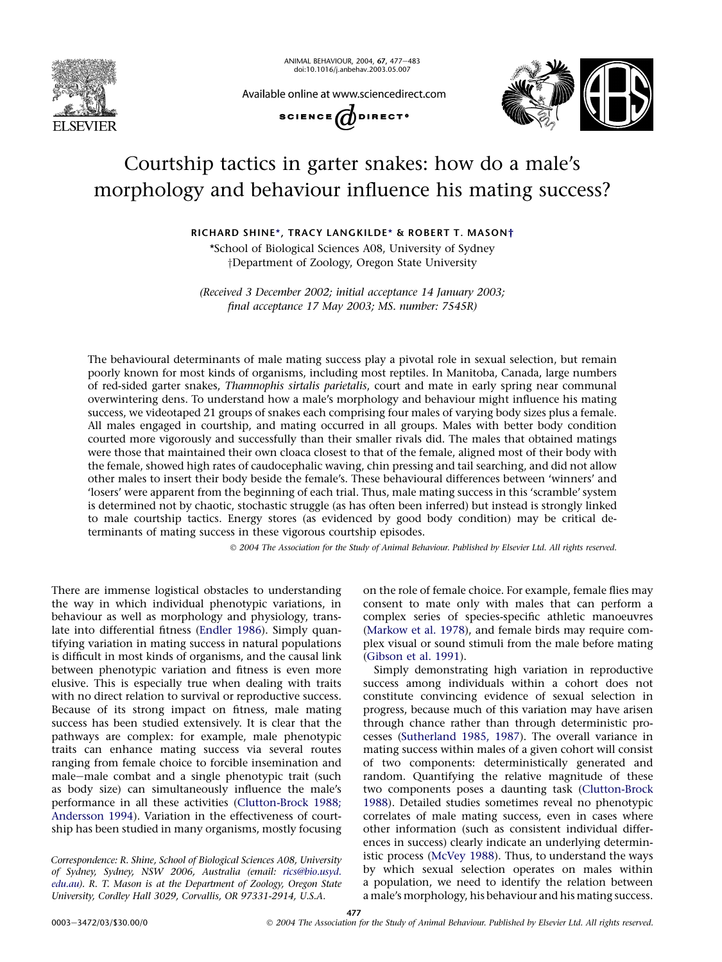

ANIMAL BEHAVIOUR, 2004, 67, 477-483 doi:10.1016/j.anbehav.2003.05.007







# Courtship tactics in garter snakes: how do a male's morphology and behaviour influence his mating success?

RICHARD SHINE\*, TRACY LANGKILDE\* & ROBERT T. MASON†

\*School of Biological Sciences A08, University of Sydney †Department of Zoology, Oregon State University

(Received 3 December 2002; initial acceptance 14 January 2003; final acceptance 17 May 2003; MS. number: 7545R)

The behavioural determinants of male mating success play a pivotal role in sexual selection, but remain poorly known for most kinds of organisms, including most reptiles. In Manitoba, Canada, large numbers of red-sided garter snakes, Thamnophis sirtalis parietalis, court and mate in early spring near communal overwintering dens. To understand how a male's morphology and behaviour might influence his mating success, we videotaped 21 groups of snakes each comprising four males of varying body sizes plus a female. All males engaged in courtship, and mating occurred in all groups. Males with better body condition courted more vigorously and successfully than their smaller rivals did. The males that obtained matings were those that maintained their own cloaca closest to that of the female, aligned most of their body with the female, showed high rates of caudocephalic waving, chin pressing and tail searching, and did not allow other males to insert their body beside the female's. These behavioural differences between 'winners' and 'losers' were apparent from the beginning of each trial. Thus, male mating success in this 'scramble' system is determined not by chaotic, stochastic struggle (as has often been inferred) but instead is strongly linked to male courtship tactics. Energy stores (as evidenced by good body condition) may be critical determinants of mating success in these vigorous courtship episodes.

477

2004 The Association for the Study of Animal Behaviour. Published by Elsevier Ltd. All rights reserved.

There are immense logistical obstacles to understanding the way in which individual phenotypic variations, in behaviour as well as morphology and physiology, translate into differential fitness [\(Endler 1986\)](#page-5-0). Simply quantifying variation in mating success in natural populations is difficult in most kinds of organisms, and the causal link between phenotypic variation and fitness is even more elusive. This is especially true when dealing with traits with no direct relation to survival or reproductive success. Because of its strong impact on fitness, male mating success has been studied extensively. It is clear that the pathways are complex: for example, male phenotypic traits can enhance mating success via several routes ranging from female choice to forcible insemination and male-male combat and a single phenotypic trait (such as body size) can simultaneously influence the male's performance in all these activities ([Clutton-Brock 1988;](#page-5-0) [Andersson 1994\)](#page-5-0). Variation in the effectiveness of courtship has been studied in many organisms, mostly focusing

Correspondence: R. Shine, School of Biological Sciences A08, University of Sydney, Sydney, NSW 2006, Australia (email: [rics@bio.usyd.](mailto:rics@bio.usyd.edu.au) [edu.au](mailto:rics@bio.usyd.edu.au)). R. T. Mason is at the Department of Zoology, Oregon State University, Cordley Hall 3029, Corvallis, OR 97331-2914, U.S.A.

on the role of female choice. For example, female flies may consent to mate only with males that can perform a complex series of species-specific athletic manoeuvres ([Markow et al. 1978](#page-6-0)), and female birds may require complex visual or sound stimuli from the male before mating ([Gibson et al. 1991](#page-6-0)).

Simply demonstrating high variation in reproductive success among individuals within a cohort does not constitute convincing evidence of sexual selection in progress, because much of this variation may have arisen through chance rather than through deterministic processes [\(Sutherland 1985, 1987\)](#page-6-0). The overall variance in mating success within males of a given cohort will consist of two components: deterministically generated and random. Quantifying the relative magnitude of these two components poses a daunting task [\(Clutton-Brock](#page-5-0) [1988](#page-5-0)). Detailed studies sometimes reveal no phenotypic correlates of male mating success, even in cases where other information (such as consistent individual differences in success) clearly indicate an underlying deterministic process ([McVey 1988\)](#page-6-0). Thus, to understand the ways by which sexual selection operates on males within a population, we need to identify the relation between a male's morphology, his behaviour and his mating success.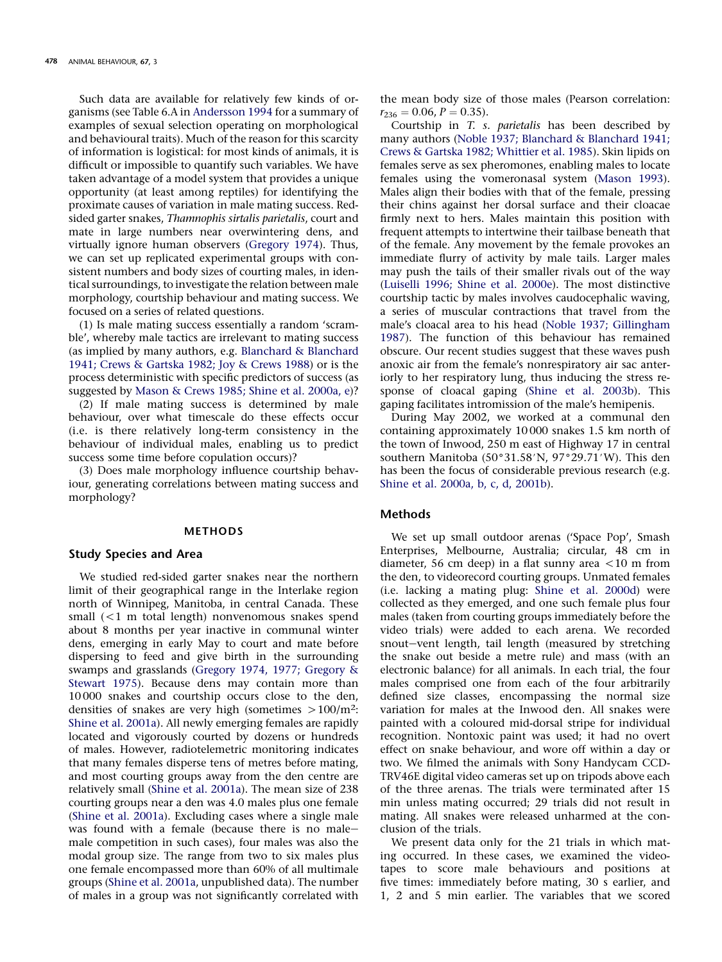Such data are available for relatively few kinds of organisms (see Table 6.A in [Andersson 1994](#page-5-0) for a summary of examples of sexual selection operating on morphological and behavioural traits). Much of the reason for this scarcity of information is logistical: for most kinds of animals, it is difficult or impossible to quantify such variables. We have taken advantage of a model system that provides a unique opportunity (at least among reptiles) for identifying the proximate causes of variation in male mating success. Redsided garter snakes, Thamnophis sirtalis parietalis, court and mate in large numbers near overwintering dens, and virtually ignore human observers [\(Gregory 1974](#page-6-0)). Thus, we can set up replicated experimental groups with consistent numbers and body sizes of courting males, in identical surroundings, to investigate the relation between male morphology, courtship behaviour and mating success. We focused on a series of related questions.

(1) Is male mating success essentially a random 'scramble', whereby male tactics are irrelevant to mating success (as implied by many authors, e.g. [Blanchard & Blanchard](#page-5-0) [1941; Crews & Gartska 1982; Joy & Crews 1988\)](#page-5-0) or is the process deterministic with specific predictors of success (as suggested by [Mason & Crews 1985; Shine et al. 2000a, e\)](#page-6-0)?

(2) If male mating success is determined by male behaviour, over what timescale do these effects occur (i.e. is there relatively long-term consistency in the behaviour of individual males, enabling us to predict success some time before copulation occurs)?

(3) Does male morphology influence courtship behaviour, generating correlations between mating success and morphology?

# METHODS

#### Study Species and Area

We studied red-sided garter snakes near the northern limit of their geographical range in the Interlake region north of Winnipeg, Manitoba, in central Canada. These small  $(< 1$  m total length) nonvenomous snakes spend about 8 months per year inactive in communal winter dens, emerging in early May to court and mate before dispersing to feed and give birth in the surrounding swamps and grasslands [\(Gregory 1974, 1977; Gregory &](#page-6-0) [Stewart 1975](#page-6-0)). Because dens may contain more than 10 000 snakes and courtship occurs close to the den, densities of snakes are very high (sometimes  $>100/m^2$ : [Shine et al. 2001a](#page-6-0)). All newly emerging females are rapidly located and vigorously courted by dozens or hundreds of males. However, radiotelemetric monitoring indicates that many females disperse tens of metres before mating, and most courting groups away from the den centre are relatively small [\(Shine et al. 2001a\)](#page-6-0). The mean size of 238 courting groups near a den was 4.0 males plus one female ([Shine et al. 2001a](#page-6-0)). Excluding cases where a single male was found with a female (because there is no malemale competition in such cases), four males was also the modal group size. The range from two to six males plus one female encompassed more than 60% of all multimale groups ([Shine et al. 2001a](#page-6-0), unpublished data). The number of males in a group was not significantly correlated with the mean body size of those males (Pearson correlation:  $r_{236} = 0.06$ ,  $P = 0.35$ ).

Courtship in T. s. parietalis has been described by many authors [\(Noble 1937; Blanchard & Blanchard 1941;](#page-6-0) [Crews & Gartska 1982; Whittier et al. 1985\)](#page-6-0). Skin lipids on females serve as sex pheromones, enabling males to locate females using the vomeronasal system [\(Mason 1993](#page-6-0)). Males align their bodies with that of the female, pressing their chins against her dorsal surface and their cloacae firmly next to hers. Males maintain this position with frequent attempts to intertwine their tailbase beneath that of the female. Any movement by the female provokes an immediate flurry of activity by male tails. Larger males may push the tails of their smaller rivals out of the way ([Luiselli 1996; Shine et al. 2000e](#page-6-0)). The most distinctive courtship tactic by males involves caudocephalic waving, a series of muscular contractions that travel from the male's cloacal area to his head [\(Noble 1937; Gillingham](#page-6-0) [1987](#page-6-0)). The function of this behaviour has remained obscure. Our recent studies suggest that these waves push anoxic air from the female's nonrespiratory air sac anteriorly to her respiratory lung, thus inducing the stress response of cloacal gaping [\(Shine et al. 2003b\)](#page-6-0). This gaping facilitates intromission of the male's hemipenis.

During May 2002, we worked at a communal den containing approximately 10 000 snakes 1.5 km north of the town of Inwood, 250 m east of Highway 17 in central southern Manitoba (50°31.58'N, 97°29.71'W). This den has been the focus of considerable previous research (e.g. [Shine et al. 2000a, b, c, d, 2001b\)](#page-6-0).

## **Methods**

We set up small outdoor arenas ('Space Pop', Smash Enterprises, Melbourne, Australia; circular, 48 cm in diameter, 56 cm deep) in a flat sunny area  $\lt 10$  m from the den, to videorecord courting groups. Unmated females (i.e. lacking a mating plug: [Shine et al. 2000d\)](#page-6-0) were collected as they emerged, and one such female plus four males (taken from courting groups immediately before the video trials) were added to each arena. We recorded snout-vent length, tail length (measured by stretching the snake out beside a metre rule) and mass (with an electronic balance) for all animals. In each trial, the four males comprised one from each of the four arbitrarily defined size classes, encompassing the normal size variation for males at the Inwood den. All snakes were painted with a coloured mid-dorsal stripe for individual recognition. Nontoxic paint was used; it had no overt effect on snake behaviour, and wore off within a day or two. We filmed the animals with Sony Handycam CCD-TRV46E digital video cameras set up on tripods above each of the three arenas. The trials were terminated after 15 min unless mating occurred; 29 trials did not result in mating. All snakes were released unharmed at the conclusion of the trials.

We present data only for the 21 trials in which mating occurred. In these cases, we examined the videotapes to score male behaviours and positions at five times: immediately before mating, 30 s earlier, and 1, 2 and 5 min earlier. The variables that we scored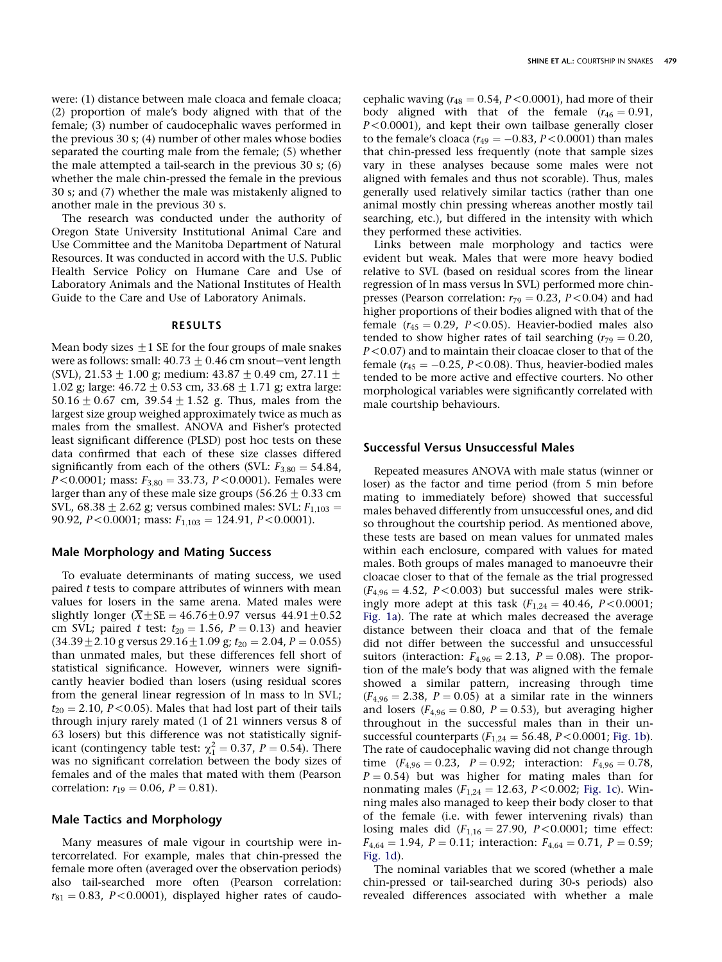were: (1) distance between male cloaca and female cloaca; (2) proportion of male's body aligned with that of the female; (3) number of caudocephalic waves performed in the previous 30 s; (4) number of other males whose bodies separated the courting male from the female; (5) whether the male attempted a tail-search in the previous 30 s; (6) whether the male chin-pressed the female in the previous 30 s; and (7) whether the male was mistakenly aligned to another male in the previous 30 s.

The research was conducted under the authority of Oregon State University Institutional Animal Care and Use Committee and the Manitoba Department of Natural Resources. It was conducted in accord with the U.S. Public Health Service Policy on Humane Care and Use of Laboratory Animals and the National Institutes of Health Guide to the Care and Use of Laboratory Animals.

#### RESULTS

Mean body sizes  $\pm 1$  SE for the four groups of male snakes were as follows: small:  $40.73 \pm 0.46$  cm snout-vent length (SVL),  $21.53 \pm 1.00$  g; medium:  $43.87 \pm 0.49$  cm,  $27.11 \pm 0.49$ 1.02 g; large:  $46.72 \pm 0.53$  cm,  $33.68 \pm 1.71$  g; extra large: 50.16  $\pm$  0.67 cm, 39.54  $\pm$  1.52 g. Thus, males from the largest size group weighed approximately twice as much as males from the smallest. ANOVA and Fisher's protected least significant difference (PLSD) post hoc tests on these data confirmed that each of these size classes differed significantly from each of the others (SVL:  $F_{3,80} = 54.84$ ,  $P < 0.0001$ ; mass:  $F_{3,80} = 33.73$ ,  $P < 0.0001$ ). Females were larger than any of these male size groups (56.26  $\pm$  0.33 cm SVL, 68.38  $\pm$  2.62 g; versus combined males: SVL:  $F_{1,103}$  = 90.92,  $P < 0.0001$ ; mass:  $F_{1,103} = 124.91$ ,  $P < 0.0001$ ).

## Male Morphology and Mating Success

To evaluate determinants of mating success, we used paired t tests to compare attributes of winners with mean values for losers in the same arena. Mated males were slightly longer  $(\overline{X} \pm SE = 46.76 \pm 0.97$  versus  $44.91 \pm 0.52$ cm SVL; paired t test:  $t_{20} = 1.56$ ,  $P = 0.13$ ) and heavier  $(34.39 \pm 2.10 \text{ g} \text{ versus } 29.16 \pm 1.09 \text{ g}; t_{20} = 2.04, P = 0.055)$ than unmated males, but these differences fell short of statistical significance. However, winners were significantly heavier bodied than losers (using residual scores from the general linear regression of ln mass to ln SVL;  $t_{20} = 2.10$ , P < 0.05). Males that had lost part of their tails through injury rarely mated (1 of 21 winners versus 8 of 63 losers) but this difference was not statistically significant (contingency table test:  $\chi_1^2 = 0.37$ ,  $P = 0.54$ ). There was no significant correlation between the body sizes of females and of the males that mated with them (Pearson correlation:  $r_{19} = 0.06$ ,  $P = 0.81$ ).

#### Male Tactics and Morphology

Many measures of male vigour in courtship were intercorrelated. For example, males that chin-pressed the female more often (averaged over the observation periods) also tail-searched more often (Pearson correlation:  $r_{81} = 0.83$ ,  $P < 0.0001$ ), displayed higher rates of caudocephalic waving ( $r_{48} = 0.54$ ,  $P < 0.0001$ ), had more of their body aligned with that of the female  $(r_{46} = 0.91,$  $P < 0.0001$ ), and kept their own tailbase generally closer to the female's cloaca ( $r_{49} = -0.83$ ,  $P < 0.0001$ ) than males that chin-pressed less frequently (note that sample sizes vary in these analyses because some males were not aligned with females and thus not scorable). Thus, males generally used relatively similar tactics (rather than one animal mostly chin pressing whereas another mostly tail searching, etc.), but differed in the intensity with which they performed these activities.

Links between male morphology and tactics were evident but weak. Males that were more heavy bodied relative to SVL (based on residual scores from the linear regression of ln mass versus ln SVL) performed more chinpresses (Pearson correlation:  $r_{79} = 0.23$ ,  $P < 0.04$ ) and had higher proportions of their bodies aligned with that of the female  $(r_{45} = 0.29, P < 0.05)$ . Heavier-bodied males also tended to show higher rates of tail searching ( $r_{79} = 0.20$ ,  $P$  < 0.07) and to maintain their cloacae closer to that of the female ( $r_{45} = -0.25$ ,  $P < 0.08$ ). Thus, heavier-bodied males tended to be more active and effective courters. No other morphological variables were significantly correlated with male courtship behaviours.

## Successful Versus Unsuccessful Males

Repeated measures ANOVA with male status (winner or loser) as the factor and time period (from 5 min before mating to immediately before) showed that successful males behaved differently from unsuccessful ones, and did so throughout the courtship period. As mentioned above, these tests are based on mean values for unmated males within each enclosure, compared with values for mated males. Both groups of males managed to manoeuvre their cloacae closer to that of the female as the trial progressed  $(F_{4,96} = 4.52, P < 0.003)$  but successful males were strikingly more adept at this task  $(F_{1,24} = 40.46, P < 0.0001;$ [Fig. 1a\)](#page-3-0). The rate at which males decreased the average distance between their cloaca and that of the female did not differ between the successful and unsuccessful suitors (interaction:  $F_{4,96} = 2.13$ ,  $P = 0.08$ ). The proportion of the male's body that was aligned with the female showed a similar pattern, increasing through time  $(F_{4,96} = 2.38, P = 0.05)$  at a similar rate in the winners and losers ( $F_{4,96} = 0.80$ ,  $P = 0.53$ ), but averaging higher throughout in the successful males than in their unsuccessful counterparts  $(F_{1,24} = 56.48, P < 0.0001;$  [Fig. 1b](#page-3-0)). The rate of caudocephalic waving did not change through time  $(F_{4,96} = 0.23, P = 0.92;$  interaction:  $F_{4,96} = 0.78$ ,  $P = 0.54$ ) but was higher for mating males than for nonmating males ( $F_{1,24} = 12.63$ ,  $P < 0.002$ ; [Fig. 1c\)](#page-3-0). Winning males also managed to keep their body closer to that of the female (i.e. with fewer intervening rivals) than losing males did  $(F_{1,16} = 27.90, P < 0.0001$ ; time effect:  $F_{4,64} = 1.94$ ,  $P = 0.11$ ; interaction:  $F_{4,64} = 0.71$ ,  $P = 0.59$ ; [Fig. 1d\)](#page-3-0).

The nominal variables that we scored (whether a male chin-pressed or tail-searched during 30-s periods) also revealed differences associated with whether a male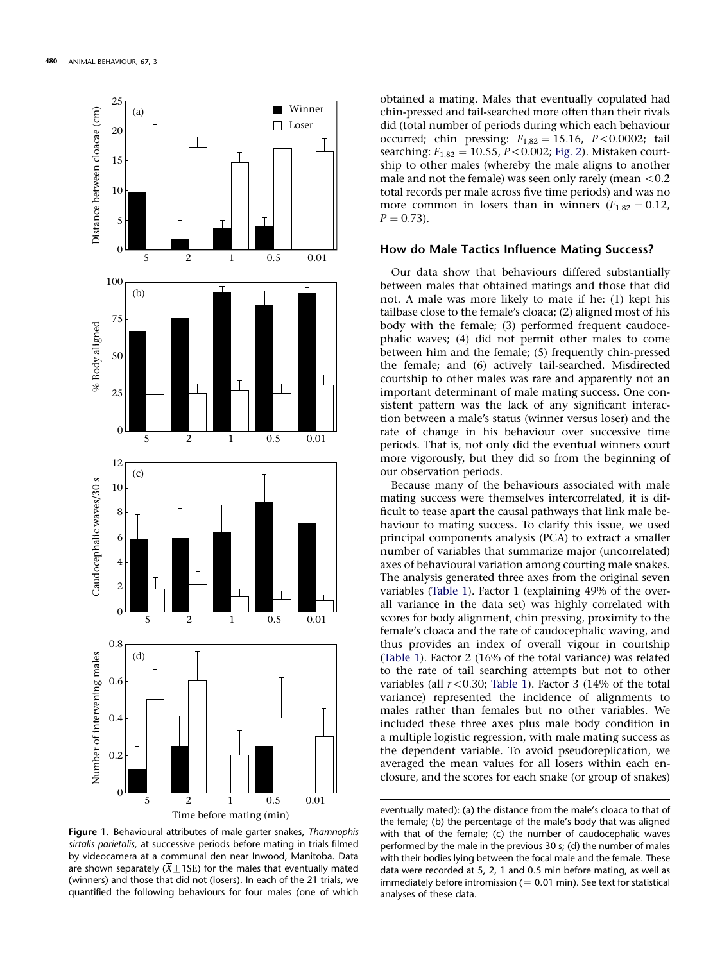<span id="page-3-0"></span>

Figure 1. Behavioural attributes of male garter snakes, Thamnophis sirtalis parietalis, at successive periods before mating in trials filmed by videocamera at a communal den near Inwood, Manitoba. Data are shown separately ( $\overline{X}$  + 1SE) for the males that eventually mated (winners) and those that did not (losers). In each of the 21 trials, we quantified the following behaviours for four males (one of which

obtained a mating. Males that eventually copulated had chin-pressed and tail-searched more often than their rivals did (total number of periods during which each behaviour occurred; chin pressing:  $F_{1,82} = 15.16$ ,  $P < 0.0002$ ; tail searching:  $F_{1,82} = 10.55, P < 0.002$ ; [Fig. 2\)](#page-4-0). Mistaken courtship to other males (whereby the male aligns to another male and not the female) was seen only rarely (mean  $< 0.2$ total records per male across five time periods) and was no more common in losers than in winners  $(F_{1,82} = 0.12,$  $P = 0.73$ .

## How do Male Tactics Influence Mating Success?

Our data show that behaviours differed substantially between males that obtained matings and those that did not. A male was more likely to mate if he: (1) kept his tailbase close to the female's cloaca; (2) aligned most of his body with the female; (3) performed frequent caudocephalic waves; (4) did not permit other males to come between him and the female; (5) frequently chin-pressed the female; and (6) actively tail-searched. Misdirected courtship to other males was rare and apparently not an important determinant of male mating success. One consistent pattern was the lack of any significant interaction between a male's status (winner versus loser) and the rate of change in his behaviour over successive time periods. That is, not only did the eventual winners court more vigorously, but they did so from the beginning of our observation periods.

Because many of the behaviours associated with male mating success were themselves intercorrelated, it is difficult to tease apart the causal pathways that link male behaviour to mating success. To clarify this issue, we used principal components analysis (PCA) to extract a smaller number of variables that summarize major (uncorrelated) axes of behavioural variation among courting male snakes. The analysis generated three axes from the original seven variables ([Table 1\)](#page-4-0). Factor 1 (explaining 49% of the overall variance in the data set) was highly correlated with scores for body alignment, chin pressing, proximity to the female's cloaca and the rate of caudocephalic waving, and thus provides an index of overall vigour in courtship ([Table 1\)](#page-4-0). Factor 2 (16% of the total variance) was related to the rate of tail searching attempts but not to other variables (all  $r$ <0.30; [Table 1](#page-4-0)). Factor 3 (14% of the total variance) represented the incidence of alignments to males rather than females but no other variables. We included these three axes plus male body condition in a multiple logistic regression, with male mating success as the dependent variable. To avoid pseudoreplication, we averaged the mean values for all losers within each enclosure, and the scores for each snake (or group of snakes)

eventually mated): (a) the distance from the male's cloaca to that of the female; (b) the percentage of the male's body that was aligned with that of the female; (c) the number of caudocephalic waves performed by the male in the previous 30 s; (d) the number of males with their bodies lying between the focal male and the female. These data were recorded at 5, 2, 1 and 0.5 min before mating, as well as immediately before intromission ( $= 0.01$  min). See text for statistical analyses of these data.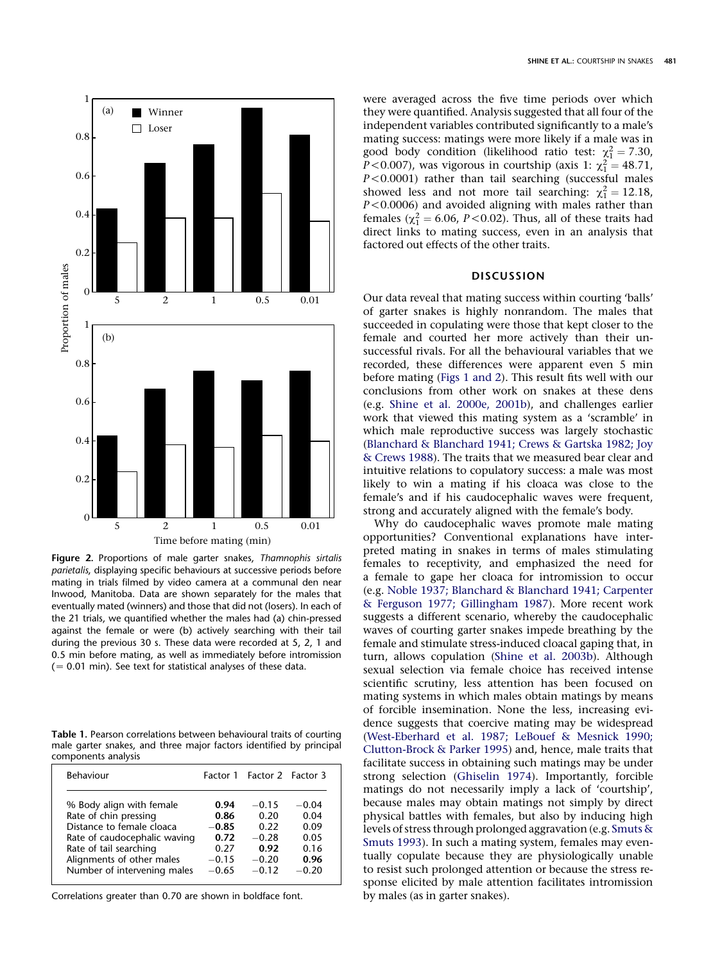<span id="page-4-0"></span>

Figure 2. Proportions of male garter snakes, Thamnophis sirtalis parietalis, displaying specific behaviours at successive periods before mating in trials filmed by video camera at a communal den near Inwood, Manitoba. Data are shown separately for the males that eventually mated (winners) and those that did not (losers). In each of the 21 trials, we quantified whether the males had (a) chin-pressed against the female or were (b) actively searching with their tail during the previous 30 s. These data were recorded at 5, 2, 1 and 0.5 min before mating, as well as immediately before intromission  $(= 0.01$  min). See text for statistical analyses of these data.

Table 1. Pearson correlations between behavioural traits of courting male garter snakes, and three major factors identified by principal components analysis

| Behaviour                    | Factor 1 | Factor 2 Factor 3 |         |
|------------------------------|----------|-------------------|---------|
| % Body align with female     | 0.94     | $-0.15$           | $-0.04$ |
| Rate of chin pressing        | 0.86     | 0.20              | 0.04    |
| Distance to female cloaca    | $-0.85$  | 0.22              | 0.09    |
| Rate of caudocephalic waving | 0.72     | $-0.28$           | 0.05    |
| Rate of tail searching       | 0.27     | 0.92              | 0.16    |
| Alignments of other males    | $-0.15$  | $-0.20$           | 0.96    |
| Number of intervening males  | $-0.65$  | $-0.12$           | $-0.20$ |

Correlations greater than 0.70 are shown in boldface font.

were averaged across the five time periods over which they were quantified. Analysis suggested that all four of the independent variables contributed significantly to a male's mating success: matings were more likely if a male was in good body condition (likelihood ratio test:  $\chi_1^2 = 7.30$ ,  $P<0.007$ ), was vigorous in courtship (axis 1:  $\chi_1^2 = 48.71$ ,  $P < 0.0001$ ) rather than tail searching (successful males showed less and not more tail searching:  $\chi_1^2 = 12.18$ ,  $P < 0.0006$ ) and avoided aligning with males rather than females ( $\chi_1^2$  = 6.06, P < 0.02). Thus, all of these traits had direct links to mating success, even in an analysis that factored out effects of the other traits.

# DISCUSSION

Our data reveal that mating success within courting 'balls' of garter snakes is highly nonrandom. The males that succeeded in copulating were those that kept closer to the female and courted her more actively than their unsuccessful rivals. For all the behavioural variables that we recorded, these differences were apparent even 5 min before mating [\(Figs 1 and 2\)](#page-3-0). This result fits well with our conclusions from other work on snakes at these dens (e.g. [Shine et al. 2000e, 2001b\)](#page-6-0), and challenges earlier work that viewed this mating system as a 'scramble' in which male reproductive success was largely stochastic ([Blanchard & Blanchard 1941; Crews & Gartska 1982; Joy](#page-5-0) [& Crews 1988](#page-5-0)). The traits that we measured bear clear and intuitive relations to copulatory success: a male was most likely to win a mating if his cloaca was close to the female's and if his caudocephalic waves were frequent, strong and accurately aligned with the female's body.

Why do caudocephalic waves promote male mating opportunities? Conventional explanations have interpreted mating in snakes in terms of males stimulating females to receptivity, and emphasized the need for a female to gape her cloaca for intromission to occur (e.g. [Noble 1937; Blanchard & Blanchard 1941; Carpenter](#page-6-0) [& Ferguson 1977; Gillingham 1987](#page-6-0)). More recent work suggests a different scenario, whereby the caudocephalic waves of courting garter snakes impede breathing by the female and stimulate stress-induced cloacal gaping that, in turn, allows copulation [\(Shine et al. 2003b](#page-6-0)). Although sexual selection via female choice has received intense scientific scrutiny, less attention has been focused on mating systems in which males obtain matings by means of forcible insemination. None the less, increasing evidence suggests that coercive mating may be widespread ([West-Eberhard et al. 1987; LeBouef & Mesnick 1990;](#page-6-0) [Clutton-Brock & Parker 1995](#page-6-0)) and, hence, male traits that facilitate success in obtaining such matings may be under strong selection [\(Ghiselin 1974](#page-6-0)). Importantly, forcible matings do not necessarily imply a lack of 'courtship', because males may obtain matings not simply by direct physical battles with females, but also by inducing high levels of stress through prolonged aggravation (e.g. [Smuts &](#page-6-0) [Smuts 1993\)](#page-6-0). In such a mating system, females may eventually copulate because they are physiologically unable to resist such prolonged attention or because the stress response elicited by male attention facilitates intromission by males (as in garter snakes).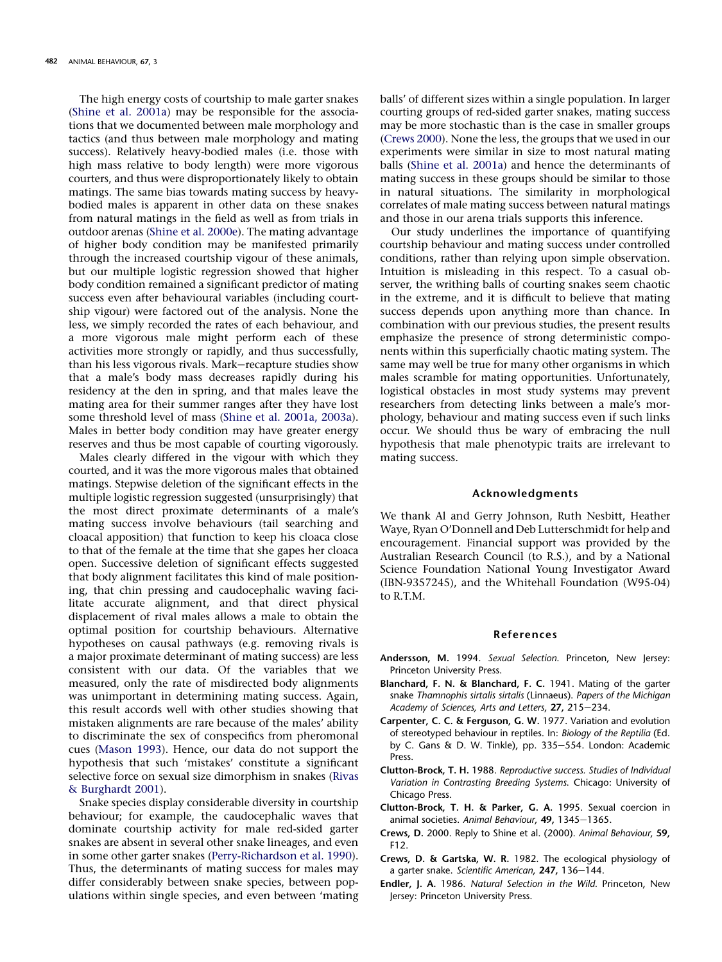<span id="page-5-0"></span>The high energy costs of courtship to male garter snakes ([Shine et al. 2001a\)](#page-6-0) may be responsible for the associations that we documented between male morphology and tactics (and thus between male morphology and mating success). Relatively heavy-bodied males (i.e. those with high mass relative to body length) were more vigorous courters, and thus were disproportionately likely to obtain matings. The same bias towards mating success by heavybodied males is apparent in other data on these snakes from natural matings in the field as well as from trials in outdoor arenas ([Shine et al. 2000e](#page-6-0)). The mating advantage of higher body condition may be manifested primarily through the increased courtship vigour of these animals, but our multiple logistic regression showed that higher body condition remained a significant predictor of mating success even after behavioural variables (including courtship vigour) were factored out of the analysis. None the less, we simply recorded the rates of each behaviour, and a more vigorous male might perform each of these activities more strongly or rapidly, and thus successfully, than his less vigorous rivals. Mark-recapture studies show that a male's body mass decreases rapidly during his residency at the den in spring, and that males leave the mating area for their summer ranges after they have lost some threshold level of mass [\(Shine et al. 2001a, 2003a](#page-6-0)). Males in better body condition may have greater energy reserves and thus be most capable of courting vigorously.

Males clearly differed in the vigour with which they courted, and it was the more vigorous males that obtained matings. Stepwise deletion of the significant effects in the multiple logistic regression suggested (unsurprisingly) that the most direct proximate determinants of a male's mating success involve behaviours (tail searching and cloacal apposition) that function to keep his cloaca close to that of the female at the time that she gapes her cloaca open. Successive deletion of significant effects suggested that body alignment facilitates this kind of male positioning, that chin pressing and caudocephalic waving facilitate accurate alignment, and that direct physical displacement of rival males allows a male to obtain the optimal position for courtship behaviours. Alternative hypotheses on causal pathways (e.g. removing rivals is a major proximate determinant of mating success) are less consistent with our data. Of the variables that we measured, only the rate of misdirected body alignments was unimportant in determining mating success. Again, this result accords well with other studies showing that mistaken alignments are rare because of the males' ability to discriminate the sex of conspecifics from pheromonal cues [\(Mason 1993](#page-6-0)). Hence, our data do not support the hypothesis that such 'mistakes' constitute a significant selective force on sexual size dimorphism in snakes [\(Rivas](#page-6-0) [& Burghardt 2001\)](#page-6-0).

Snake species display considerable diversity in courtship behaviour; for example, the caudocephalic waves that dominate courtship activity for male red-sided garter snakes are absent in several other snake lineages, and even in some other garter snakes ([Perry-Richardson et al. 1990](#page-6-0)). Thus, the determinants of mating success for males may differ considerably between snake species, between populations within single species, and even between 'mating balls' of different sizes within a single population. In larger courting groups of red-sided garter snakes, mating success may be more stochastic than is the case in smaller groups (Crews 2000). None the less, the groups that we used in our experiments were similar in size to most natural mating balls ([Shine et al. 2001a](#page-6-0)) and hence the determinants of mating success in these groups should be similar to those in natural situations. The similarity in morphological correlates of male mating success between natural matings and those in our arena trials supports this inference.

Our study underlines the importance of quantifying courtship behaviour and mating success under controlled conditions, rather than relying upon simple observation. Intuition is misleading in this respect. To a casual observer, the writhing balls of courting snakes seem chaotic in the extreme, and it is difficult to believe that mating success depends upon anything more than chance. In combination with our previous studies, the present results emphasize the presence of strong deterministic components within this superficially chaotic mating system. The same may well be true for many other organisms in which males scramble for mating opportunities. Unfortunately, logistical obstacles in most study systems may prevent researchers from detecting links between a male's morphology, behaviour and mating success even if such links occur. We should thus be wary of embracing the null hypothesis that male phenotypic traits are irrelevant to mating success.

#### Acknowledgments

We thank Al and Gerry Johnson, Ruth Nesbitt, Heather Waye, Ryan O'Donnell and Deb Lutterschmidt for help and encouragement. Financial support was provided by the Australian Research Council (to R.S.), and by a National Science Foundation National Young Investigator Award (IBN-9357245), and the Whitehall Foundation (W95-04) to R.T.M.

## References

- Andersson, M. 1994. Sexual Selection. Princeton. New Jersey: Princeton University Press.
- Blanchard, F. N. & Blanchard, F. C. 1941. Mating of the garter snake Thamnophis sirtalis sirtalis (Linnaeus). Papers of the Michigan Academy of Sciences, Arts and Letters, 27, 215-234.
- Carpenter, C. C. & Ferguson, G. W. 1977. Variation and evolution of stereotyped behaviour in reptiles. In: Biology of the Reptilia (Ed. by C. Gans & D. W. Tinkle), pp. 335-554. London: Academic **Press**
- Clutton-Brock, T. H. 1988. Reproductive success. Studies of Individual Variation in Contrasting Breeding Systems. Chicago: University of Chicago Press.
- Clutton-Brock, T. H. & Parker, G. A. 1995. Sexual coercion in animal societies. Animal Behaviour, 49, 1345-1365.
- Crews, D. 2000. Reply to Shine et al. (2000). Animal Behaviour, 59, F12.
- Crews, D. & Gartska, W. R. 1982. The ecological physiology of a garter snake. Scientific American,  $247$ ,  $136-144$ .
- Endler, J. A. 1986. Natural Selection in the Wild. Princeton, New Jersey: Princeton University Press.